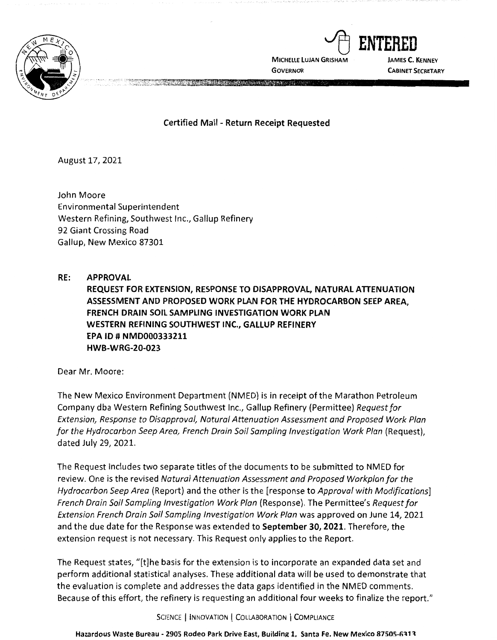

**MICHELLE LUJAN GRISHAM GOVERNOR** 

~ **ENTERED JAMES C. KENNEY CABINET SECRETARY** 

**Certified Mail** - **Return Receipt Requested** 

**A REAL PROPERTY AND REAL PROPERTY AND REAL PROPERTY.** 

August 17, 2021

John Moore Environmental Superintendent Western Refining, Southwest Inc., Gallup Refinery 92 Giant Crossing Road Gallup, New Mexico 87301

**RE: APPROVAL REQUEST FOR EXTENSION, RESPONSE TO DISAPPROVAL, NATURAL ATTENUATION ASSESSMENT AND PROPOSED WORK PLAN FOR THE HYDROCARBON SEEP AREA, FRENCH DRAIN SOIL SAMPLING INVESTIGATION WORK PLAN WESTERN REFINING SOUTHWEST INC., GALLUP REFINERY EPA** ID# **NMD000333211 HWB-WRG-20-023** 

Dear Mr. Moore:

The New Mexico Environment Department (NMED) is in receipt of the Marathon Petroleum Company dba Western Refining Southwest Inc., Gallup Refinery (Permittee) Request for Extension, Response to Disapproval, Natural Attenuation Assessment and Proposed Work Plan for the Hydrocarbon Seep Area, French Drain Soil Sampling Investigation Work Plan (Request), dated July 29, 2021.

The Request includes two separate titles of the documents to be submitted to NMED for review. One is the revised Natural Attenuation Assessment and Proposed Workplan for the Hydrocarbon Seep Area (Report) and the other is the [response to Approval with Modifications] French Drain Soil Sampling Investigation Work Plan (Response). The Permittee's Request for Extension French Drain Soil Sampling Investigation Work Plan was approved on June 14, 2021 and the due date for the Response was extended to **September 30, 2021.** Therefore, the extension request is not necessary. This Request only applies to the Report.

The Request states, "[t]he basis for the extension is to incorporate an expanded data set and perform additional statistical analyses. These additional data will be used to demonstrate that the evaluation is complete and addresses the data gaps identified in the NMED comments. Because of this effort, the refinery is requesting an additional four weeks to finalize the report."

SCIENCE | INNOVATION | COLLABORATION | COMPLIANCE